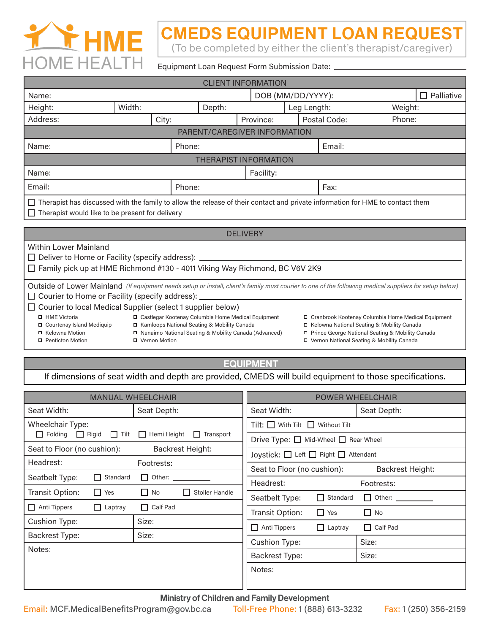

## CMEDS EQUIPMENT LOAN REQUEST

(To be completed by either the client's therapist/caregiver)

Equipment Loan Request Form Submission Date:

| <b>CLIENT INFORMATION</b>                                                                                                                                                                                                                                                                                                                                                                                                                                                                                                                                                                                                                                                                                                                                                         |        |        |        |                   |             |              |                 |  |
|-----------------------------------------------------------------------------------------------------------------------------------------------------------------------------------------------------------------------------------------------------------------------------------------------------------------------------------------------------------------------------------------------------------------------------------------------------------------------------------------------------------------------------------------------------------------------------------------------------------------------------------------------------------------------------------------------------------------------------------------------------------------------------------|--------|--------|--------|-------------------|-------------|--------------|-----------------|--|
| Name:                                                                                                                                                                                                                                                                                                                                                                                                                                                                                                                                                                                                                                                                                                                                                                             |        |        |        | DOB (MM/DD/YYYY): |             |              | Palliative<br>П |  |
| Height:                                                                                                                                                                                                                                                                                                                                                                                                                                                                                                                                                                                                                                                                                                                                                                           | Width: |        | Depth: |                   | Leg Length: |              | Weight:         |  |
| Address:                                                                                                                                                                                                                                                                                                                                                                                                                                                                                                                                                                                                                                                                                                                                                                          | City:  |        |        | Province:         |             | Postal Code: | Phone:          |  |
| PARENT/CAREGIVER INFORMATION                                                                                                                                                                                                                                                                                                                                                                                                                                                                                                                                                                                                                                                                                                                                                      |        |        |        |                   |             |              |                 |  |
| Phone:<br>Name:                                                                                                                                                                                                                                                                                                                                                                                                                                                                                                                                                                                                                                                                                                                                                                   |        |        |        |                   | Email:      |              |                 |  |
| <b>THERAPIST INFORMATION</b>                                                                                                                                                                                                                                                                                                                                                                                                                                                                                                                                                                                                                                                                                                                                                      |        |        |        |                   |             |              |                 |  |
| Name:                                                                                                                                                                                                                                                                                                                                                                                                                                                                                                                                                                                                                                                                                                                                                                             |        |        |        | Facility:         |             |              |                 |  |
| Email:                                                                                                                                                                                                                                                                                                                                                                                                                                                                                                                                                                                                                                                                                                                                                                            |        | Phone: |        |                   | Fax:        |              |                 |  |
| Therapist has discussed with the family to allow the release of their contact and private information for HME to contact them<br>Therapist would like to be present for delivery                                                                                                                                                                                                                                                                                                                                                                                                                                                                                                                                                                                                  |        |        |        |                   |             |              |                 |  |
| <b>DELIVERY</b>                                                                                                                                                                                                                                                                                                                                                                                                                                                                                                                                                                                                                                                                                                                                                                   |        |        |        |                   |             |              |                 |  |
| <b>Within Lower Mainland</b><br>□ Deliver to Home or Facility (specify address): _____<br>□ Family pick up at HME Richmond #130 - 4011 Viking Way Richmond, BC V6V 2K9                                                                                                                                                                                                                                                                                                                                                                                                                                                                                                                                                                                                            |        |        |        |                   |             |              |                 |  |
| Outside of Lower Mainland (If equipment needs setup or install, client's family must courier to one of the following medical suppliers for setup below)<br>$\Box$ Courier to Home or Facility (specify address): $\Box$<br>□ Courier to local Medical Supplier (select 1 supplier below)<br>□ Castlegar Kootenay Columbia Home Medical Equipment<br>HME Victoria<br>□ Cranbrook Kootenay Columbia Home Medical Equipment<br>□ Kamloops National Seating & Mobility Canada<br>□ Kelowna National Seating & Mobility Canada<br>□ Courtenay Island Mediquip<br>□ Kelowna Motion<br>□ Nanaimo National Seating & Mobility Canada (Advanced)<br>Prince George National Seating & Mobility Canada<br>□ Vernon Motion<br>□ Vernon National Seating & Mobility Canada<br>Penticton Motion |        |        |        |                   |             |              |                 |  |

**EQUIPMENT** 

If dimensions of seat width and depth are provided, CMEDS will build equipment to those specifications.

|                                                              | <b>MANUAL WHEELCHAIR</b>                               | <b>POWER WHEELCHAIR</b>                    |                         |  |  |
|--------------------------------------------------------------|--------------------------------------------------------|--------------------------------------------|-------------------------|--|--|
| Seat Width:                                                  | Seat Depth:                                            | Seat Width:                                | Seat Depth:             |  |  |
| <b>Wheelchair Type:</b>                                      |                                                        | $Tilt: \Box$ With Tilt $\Box$ Without Tilt |                         |  |  |
| $\Box$ Folding<br>Rigid Tilt Hemi Height<br>$\Box$ Transport |                                                        | Drive Type: □ Mid-Wheel □ Rear Wheel       |                         |  |  |
| Seat to Floor (no cushion):                                  | <b>Backrest Height:</b>                                | Joystick: □ Left □ Right □ Attendant       |                         |  |  |
| Headrest:                                                    | Footrests:                                             | Seat to Floor (no cushion):                | <b>Backrest Height:</b> |  |  |
| $\Box$ Standard<br>Seatbelt Type:                            | $\Box$ Other: $\_\_\_\_\_\_\_\_\_\_\_\_\_\_\_\_\_\_\_$ | Headrest:                                  | Footrests:              |  |  |
| Transit Option:<br>$\Box$ Yes                                | Stoller Handle<br>$\Box$ No<br>П                       | Seatbelt Type:<br>Standard<br>П            | $\Box$ Other:           |  |  |
| $\Box$ Anti Tippers<br>$\Box$ Laptray                        | $\Box$ Calf Pad                                        | Transit Option:<br>$\Box$<br>Yes           | $\Box$ No               |  |  |
| <b>Cushion Type:</b>                                         | Size:                                                  |                                            |                         |  |  |
| <b>Backrest Type:</b>                                        | Size:                                                  | $\Box$ Anti Tippers<br>$\Box$ Laptray      | $\Box$ Calf Pad         |  |  |
| Notes:                                                       |                                                        | <b>Cushion Type:</b>                       | Size:                   |  |  |
|                                                              |                                                        | <b>Backrest Type:</b>                      | Size:                   |  |  |
|                                                              |                                                        | Notes:                                     |                         |  |  |
|                                                              |                                                        |                                            |                         |  |  |

Ministry of Children and Family Development

Email: MCF.MedicalBenefitsProgram@gov.bc.ca Toll-Free Phone: 1 (888) 613-3232 Fax: 1 (250) 356-2159